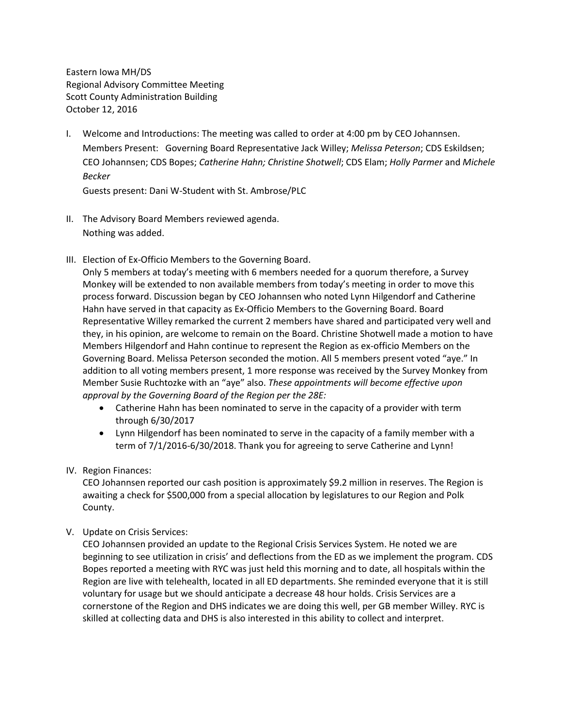Eastern Iowa MH/DS Regional Advisory Committee Meeting Scott County Administration Building October 12, 2016

I. Welcome and Introductions: The meeting was called to order at 4:00 pm by CEO Johannsen. Members Present: Governing Board Representative Jack Willey; *Melissa Peterson*; CDS Eskildsen; CEO Johannsen; CDS Bopes; *Catherine Hahn; Christine Shotwell*; CDS Elam; *Holly Parmer* and *Michele Becker*

Guests present: Dani W-Student with St. Ambrose/PLC

- II. The Advisory Board Members reviewed agenda. Nothing was added.
- III. Election of Ex-Officio Members to the Governing Board.

Only 5 members at today's meeting with 6 members needed for a quorum therefore, a Survey Monkey will be extended to non available members from today's meeting in order to move this process forward. Discussion began by CEO Johannsen who noted Lynn Hilgendorf and Catherine Hahn have served in that capacity as Ex-Officio Members to the Governing Board. Board Representative Willey remarked the current 2 members have shared and participated very well and they, in his opinion, are welcome to remain on the Board. Christine Shotwell made a motion to have Members Hilgendorf and Hahn continue to represent the Region as ex-officio Members on the Governing Board. Melissa Peterson seconded the motion. All 5 members present voted "aye." In addition to all voting members present, 1 more response was received by the Survey Monkey from Member Susie Ruchtozke with an "aye" also. *These appointments will become effective upon approval by the Governing Board of the Region per the 28E:*

- Catherine Hahn has been nominated to serve in the capacity of a provider with term through 6/30/2017
- Lynn Hilgendorf has been nominated to serve in the capacity of a family member with a term of 7/1/2016-6/30/2018. Thank you for agreeing to serve Catherine and Lynn!
- IV. Region Finances:

CEO Johannsen reported our cash position is approximately \$9.2 million in reserves. The Region is awaiting a check for \$500,000 from a special allocation by legislatures to our Region and Polk County.

V. Update on Crisis Services:

CEO Johannsen provided an update to the Regional Crisis Services System. He noted we are beginning to see utilization in crisis' and deflections from the ED as we implement the program. CDS Bopes reported a meeting with RYC was just held this morning and to date, all hospitals within the Region are live with telehealth, located in all ED departments. She reminded everyone that it is still voluntary for usage but we should anticipate a decrease 48 hour holds. Crisis Services are a cornerstone of the Region and DHS indicates we are doing this well, per GB member Willey. RYC is skilled at collecting data and DHS is also interested in this ability to collect and interpret.